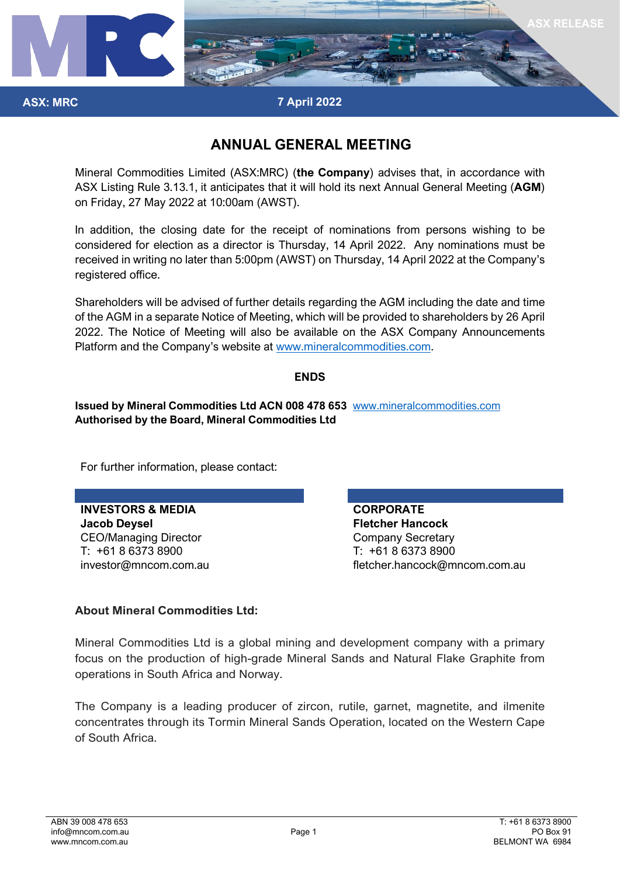

## **7 April 2022**

## **ANNUAL GENERAL MEETING**

Mineral Commodities Limited (ASX:MRC) (**the Company**) advises that, in accordance with ASX Listing Rule 3.13.1, it anticipates that it will hold its next Annual General Meeting (**AGM**) on Friday, 27 May 2022 at 10:00am (AWST).

In addition, the closing date for the receipt of nominations from persons wishing to be considered for election as a director is Thursday, 14 April 2022. Any nominations must be received in writing no later than 5:00pm (AWST) on Thursday, 14 April 2022 at the Company's registered office.

Shareholders will be advised of further details regarding the AGM including the date and time of the AGM in a separate Notice of Meeting, which will be provided to shareholders by 26 April 2022. The Notice of Meeting will also be available on the ASX Company Announcements Platform and the Company's website at [www.mineralcommodities.com.](http://www.mineralcommodities.com/)

## **ENDS**

**Issued by Mineral Commodities Ltd ACN 008 478 653** [www.mineralcommodities.com](http://www.mineralcommodities.com/) **Authorised by the Board, Mineral Commodities Ltd**

For further information, please contact:

**INVESTORS & MEDIA CORPORATE Jacob Deysel Fletcher Hancock** CEO/Managing Director CEO/Managing Director T: +61 8 6373 8900 T: +61 8 6373 8900

**ASX: MRC**

investor@mncom.com.au fletcher.hancock@mncom.com.au

## **About Mineral Commodities Ltd:**

Mineral Commodities Ltd is a global mining and development company with a primary focus on the production of high-grade Mineral Sands and Natural Flake Graphite from operations in South Africa and Norway.

The Company is a leading producer of zircon, rutile, garnet, magnetite, and ilmenite concentrates through its Tormin Mineral Sands Operation, located on the Western Cape of South Africa.